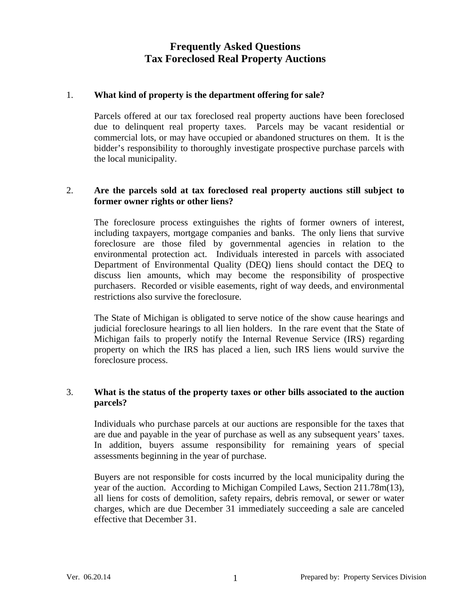### 1. **What kind of property is the department offering for sale?**

 Parcels offered at our tax foreclosed real property auctions have been foreclosed due to delinquent real property taxes. Parcels may be vacant residential or commercial lots, or may have occupied or abandoned structures on them. It is the bidder's responsibility to thoroughly investigate prospective purchase parcels with the local municipality.

### 2. **Are the parcels sold at tax foreclosed real property auctions still subject to former owner rights or other liens?**

 The foreclosure process extinguishes the rights of former owners of interest, including taxpayers, mortgage companies and banks. The only liens that survive foreclosure are those filed by governmental agencies in relation to the environmental protection act. Individuals interested in parcels with associated Department of Environmental Quality (DEQ) liens should contact the DEQ to discuss lien amounts, which may become the responsibility of prospective purchasers. Recorded or visible easements, right of way deeds, and environmental restrictions also survive the foreclosure.

 The State of Michigan is obligated to serve notice of the show cause hearings and judicial foreclosure hearings to all lien holders. In the rare event that the State of Michigan fails to properly notify the Internal Revenue Service (IRS) regarding property on which the IRS has placed a lien, such IRS liens would survive the foreclosure process.

### 3. **What is the status of the property taxes or other bills associated to the auction parcels?**

 Individuals who purchase parcels at our auctions are responsible for the taxes that are due and payable in the year of purchase as well as any subsequent years' taxes. In addition, buyers assume responsibility for remaining years of special assessments beginning in the year of purchase.

 Buyers are not responsible for costs incurred by the local municipality during the year of the auction. According to Michigan Compiled Laws, Section 211.78m(13), all liens for costs of demolition, safety repairs, debris removal, or sewer or water charges, which are due December 31 immediately succeeding a sale are canceled effective that December 31.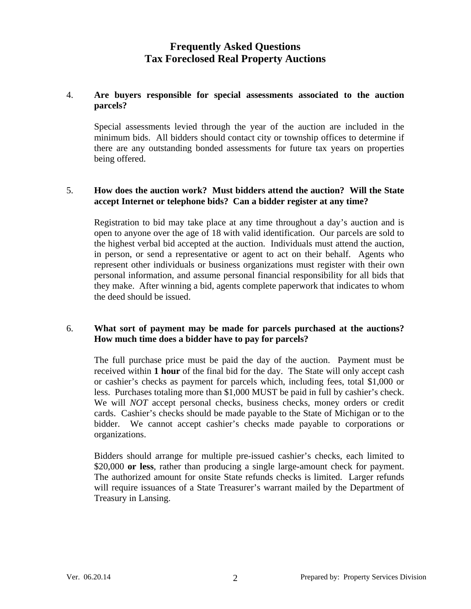### 4. **Are buyers responsible for special assessments associated to the auction parcels?**

 Special assessments levied through the year of the auction are included in the minimum bids. All bidders should contact city or township offices to determine if there are any outstanding bonded assessments for future tax years on properties being offered.

#### 5. **How does the auction work? Must bidders attend the auction? Will the State accept Internet or telephone bids? Can a bidder register at any time?**

 Registration to bid may take place at any time throughout a day's auction and is open to anyone over the age of 18 with valid identification. Our parcels are sold to the highest verbal bid accepted at the auction. Individuals must attend the auction, in person, or send a representative or agent to act on their behalf. Agents who represent other individuals or business organizations must register with their own personal information, and assume personal financial responsibility for all bids that they make. After winning a bid, agents complete paperwork that indicates to whom the deed should be issued.

#### 6. **What sort of payment may be made for parcels purchased at the auctions? How much time does a bidder have to pay for parcels?**

 The full purchase price must be paid the day of the auction. Payment must be received within **1 hour** of the final bid for the day. The State will only accept cash or cashier's checks as payment for parcels which, including fees, total \$1,000 or less. Purchases totaling more than \$1,000 MUST be paid in full by cashier's check. We will *NOT* accept personal checks, business checks, money orders or credit cards. Cashier's checks should be made payable to the State of Michigan or to the bidder. We cannot accept cashier's checks made payable to corporations or organizations.

 Bidders should arrange for multiple pre-issued cashier's checks, each limited to \$20,000 **or less**, rather than producing a single large-amount check for payment. The authorized amount for onsite State refunds checks is limited. Larger refunds will require issuances of a State Treasurer's warrant mailed by the Department of Treasury in Lansing.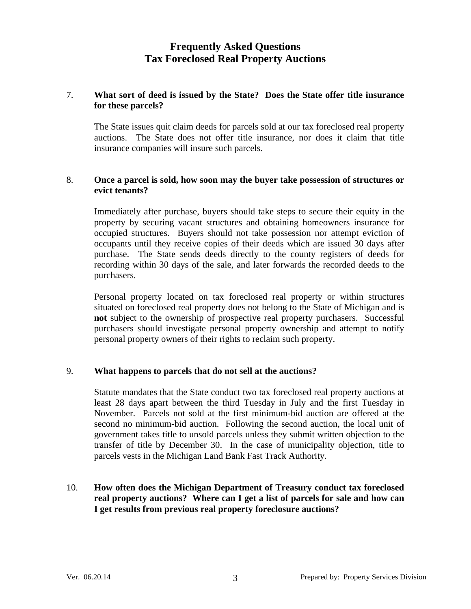### 7. **What sort of deed is issued by the State? Does the State offer title insurance for these parcels?**

 The State issues quit claim deeds for parcels sold at our tax foreclosed real property auctions. The State does not offer title insurance, nor does it claim that title insurance companies will insure such parcels.

### 8. **Once a parcel is sold, how soon may the buyer take possession of structures or evict tenants?**

 Immediately after purchase, buyers should take steps to secure their equity in the property by securing vacant structures and obtaining homeowners insurance for occupied structures. Buyers should not take possession nor attempt eviction of occupants until they receive copies of their deeds which are issued 30 days after purchase. The State sends deeds directly to the county registers of deeds for recording within 30 days of the sale, and later forwards the recorded deeds to the purchasers.

 Personal property located on tax foreclosed real property or within structures situated on foreclosed real property does not belong to the State of Michigan and is **not** subject to the ownership of prospective real property purchasers. Successful purchasers should investigate personal property ownership and attempt to notify personal property owners of their rights to reclaim such property.

# 9. **What happens to parcels that do not sell at the auctions?**

 Statute mandates that the State conduct two tax foreclosed real property auctions at least 28 days apart between the third Tuesday in July and the first Tuesday in November. Parcels not sold at the first minimum-bid auction are offered at the second no minimum-bid auction. Following the second auction, the local unit of government takes title to unsold parcels unless they submit written objection to the transfer of title by December 30. In the case of municipality objection, title to parcels vests in the Michigan Land Bank Fast Track Authority.

# 10. **How often does the Michigan Department of Treasury conduct tax foreclosed real property auctions? Where can I get a list of parcels for sale and how can I get results from previous real property foreclosure auctions?**